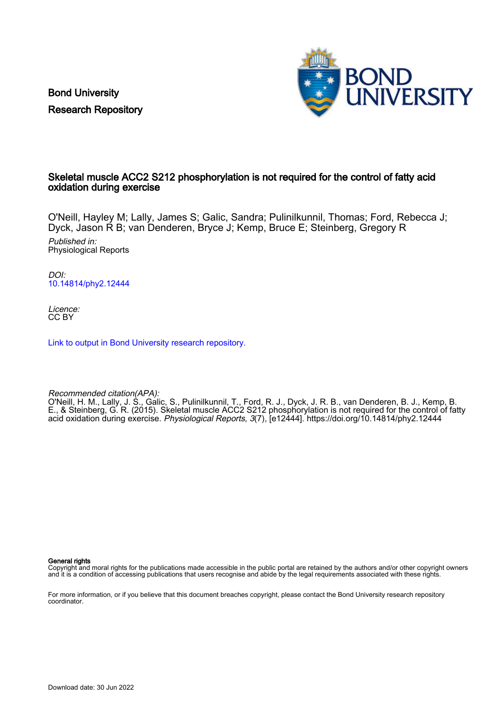Bond University Research Repository



# Skeletal muscle ACC2 S212 phosphorylation is not required for the control of fatty acid oxidation during exercise

O'Neill, Hayley M; Lally, James S; Galic, Sandra; Pulinilkunnil, Thomas; Ford, Rebecca J; Dyck, Jason R B; van Denderen, Bryce J; Kemp, Bruce E; Steinberg, Gregory R

Published in: Physiological Reports

DOI: [10.14814/phy2.12444](https://doi.org/10.14814/phy2.12444)

Licence: CC BY

[Link to output in Bond University research repository.](https://research.bond.edu.au/en/publications/bb06b33f-2e60-45f2-bafd-5e5d509d5ddf)

Recommended citation(APA):

O'Neill, H. M., Lally, J. S., Galic, S., Pulinilkunnil, T., Ford, R. J., Dyck, J. R. B., van Denderen, B. J., Kemp, B. E., & Steinberg, G. R. (2015). Skeletal muscle ACC2 S212 phosphorylation is not required for the control of fatty acid oxidation during exercise. Physiological Reports, 3(7), [e12444]. <https://doi.org/10.14814/phy2.12444>

General rights

Copyright and moral rights for the publications made accessible in the public portal are retained by the authors and/or other copyright owners and it is a condition of accessing publications that users recognise and abide by the legal requirements associated with these rights.

For more information, or if you believe that this document breaches copyright, please contact the Bond University research repository coordinator.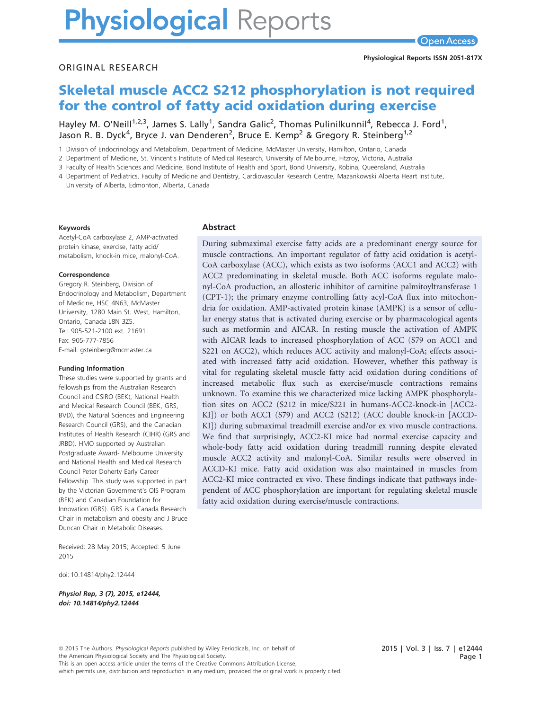# **Physiological Reports**

#### ORIGINAL RESEARCH

# Skeletal muscle ACC2 S212 phosphorylation is not required for the control of fatty acid oxidation during exercise

Hayley M. O'Neill<sup>1,2,3</sup>, James S. Lally<sup>1</sup>, Sandra Galic<sup>2</sup>, Thomas Pulinilkunnil<sup>4</sup>, Rebecca J. Ford<sup>1</sup>, Jason R. B. Dyck<sup>4</sup>, Bryce J. van Denderen<sup>2</sup>, Bruce E. Kemp<sup>2</sup> & Gregory R. Steinberg<sup>1,2</sup>

1 Division of Endocrinology and Metabolism, Department of Medicine, McMaster University, Hamilton, Ontario, Canada

2 Department of Medicine, St. Vincent's Institute of Medical Research, University of Melbourne, Fitzroy, Victoria, Australia

3 Faculty of Health Sciences and Medicine, Bond Institute of Health and Sport, Bond University, Robina, Queensland, Australia

4 Department of Pediatrics, Faculty of Medicine and Dentistry, Cardiovascular Research Centre, Mazankowski Alberta Heart Institute,

University of Alberta, Edmonton, Alberta, Canada

#### Keywords

Acetyl-CoA carboxylase 2, AMP-activated protein kinase, exercise, fatty acid/ metabolism, knock-in mice, malonyl-CoA.

#### Correspondence

Gregory R. Steinberg, Division of Endocrinology and Metabolism, Department of Medicine, HSC 4N63, McMaster University, 1280 Main St. West, Hamilton, Ontario, Canada L8N 3Z5. Tel: 905-521-2100 ext. 21691 Fax: 905-777-7856 E-mail: gsteinberg@mcmaster.ca

#### Funding Information

These studies were supported by grants and fellowships from the Australian Research Council and CSIRO (BEK), National Health and Medical Research Council (BEK, GRS, BVD), the Natural Sciences and Engineering Research Council (GRS), and the Canadian Institutes of Health Research (CIHR) (GRS and JRBD). HMO supported by Australian Postgraduate Award- Melbourne University and National Health and Medical Research Council Peter Doherty Early Career Fellowship. This study was supported in part by the Victorian Government's OIS Program (BEK) and Canadian Foundation for Innovation (GRS). GRS is a Canada Research Chair in metabolism and obesity and J Bruce Duncan Chair in Metabolic Diseases.

Received: 28 May 2015; Accepted: 5 June 2015

doi: 10.14814/phy2.12444

Physiol Rep, 3 (7), 2015, e12444, doi: [10.14814/phy2.12444](info:doi/10.14814/phy2.12444)

#### Abstract

During submaximal exercise fatty acids are a predominant energy source for muscle contractions. An important regulator of fatty acid oxidation is acetyl-CoA carboxylase (ACC), which exists as two isoforms (ACC1 and ACC2) with ACC2 predominating in skeletal muscle. Both ACC isoforms regulate malonyl-CoA production, an allosteric inhibitor of carnitine palmitoyltransferase 1 (CPT-1); the primary enzyme controlling fatty acyl-CoA flux into mitochondria for oxidation. AMP-activated protein kinase (AMPK) is a sensor of cellular energy status that is activated during exercise or by pharmacological agents such as metformin and AICAR. In resting muscle the activation of AMPK with AICAR leads to increased phosphorylation of ACC (S79 on ACC1 and S221 on ACC2), which reduces ACC activity and malonyl-CoA; effects associated with increased fatty acid oxidation. However, whether this pathway is vital for regulating skeletal muscle fatty acid oxidation during conditions of increased metabolic flux such as exercise/muscle contractions remains unknown. To examine this we characterized mice lacking AMPK phosphorylation sites on ACC2 (S212 in mice/S221 in humans-ACC2-knock-in [ACC2- KI]) or both ACC1 (S79) and ACC2 (S212) (ACC double knock-in [ACCD-KI]) during submaximal treadmill exercise and/or ex vivo muscle contractions. We find that surprisingly, ACC2-KI mice had normal exercise capacity and whole-body fatty acid oxidation during treadmill running despite elevated muscle ACC2 activity and malonyl-CoA. Similar results were observed in ACCD-KI mice. Fatty acid oxidation was also maintained in muscles from ACC2-KI mice contracted ex vivo. These findings indicate that pathways independent of ACC phosphorylation are important for regulating skeletal muscle fatty acid oxidation during exercise/muscle contractions.

<sup>ª</sup> 2015 The Authors. Physiological Reports published by Wiley Periodicals, Inc. on behalf of the American Physiological Society and The Physiological Society. This is an open access article under the terms of the [Creative Commons Attribution](http://creativecommons.org/licenses/by/4.0/) License, which permits use, distribution and reproduction in any medium, provided the original work is properly cited.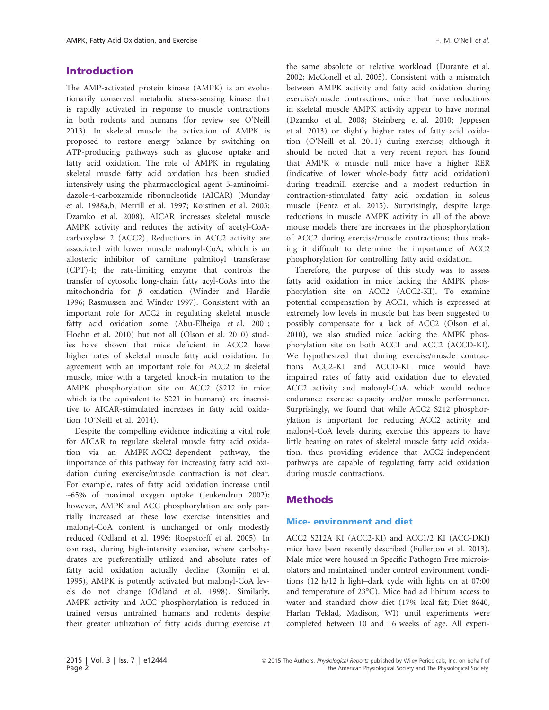## Introduction

The AMP-activated protein kinase (AMPK) is an evolutionarily conserved metabolic stress-sensing kinase that is rapidly activated in response to muscle contractions in both rodents and humans (for review see O'Neill 2013). In skeletal muscle the activation of AMPK is proposed to restore energy balance by switching on ATP-producing pathways such as glucose uptake and fatty acid oxidation. The role of AMPK in regulating skeletal muscle fatty acid oxidation has been studied intensively using the pharmacological agent 5-aminoimidazole-4-carboxamide ribonucleotide (AICAR) (Munday et al. 1988a,b; Merrill et al. 1997; Koistinen et al. 2003; Dzamko et al. 2008). AICAR increases skeletal muscle AMPK activity and reduces the activity of acetyl-CoAcarboxylase 2 (ACC2). Reductions in ACC2 activity are associated with lower muscle malonyl-CoA, which is an allosteric inhibitor of carnitine palmitoyl transferase (CPT)-I; the rate-limiting enzyme that controls the transfer of cytosolic long-chain fatty acyl-CoAs into the mitochondria for  $\beta$  oxidation (Winder and Hardie 1996; Rasmussen and Winder 1997). Consistent with an important role for ACC2 in regulating skeletal muscle fatty acid oxidation some (Abu-Elheiga et al. 2001; Hoehn et al. 2010) but not all (Olson et al. 2010) studies have shown that mice deficient in ACC2 have higher rates of skeletal muscle fatty acid oxidation. In agreement with an important role for ACC2 in skeletal muscle, mice with a targeted knock-in mutation to the AMPK phosphorylation site on ACC2 (S212 in mice which is the equivalent to S221 in humans) are insensitive to AICAR-stimulated increases in fatty acid oxidation (O'Neill et al. 2014).

Despite the compelling evidence indicating a vital role for AICAR to regulate skeletal muscle fatty acid oxidation via an AMPK-ACC2-dependent pathway, the importance of this pathway for increasing fatty acid oxidation during exercise/muscle contraction is not clear. For example, rates of fatty acid oxidation increase until ~65% of maximal oxygen uptake (Jeukendrup 2002); however, AMPK and ACC phosphorylation are only partially increased at these low exercise intensities and malonyl-CoA content is unchanged or only modestly reduced (Odland et al. 1996; Roepstorff et al. 2005). In contrast, during high-intensity exercise, where carbohydrates are preferentially utilized and absolute rates of fatty acid oxidation actually decline (Romijn et al. 1995), AMPK is potently activated but malonyl-CoA levels do not change (Odland et al. 1998). Similarly, AMPK activity and ACC phosphorylation is reduced in trained versus untrained humans and rodents despite their greater utilization of fatty acids during exercise at the same absolute or relative workload (Durante et al. 2002; McConell et al. 2005). Consistent with a mismatch between AMPK activity and fatty acid oxidation during exercise/muscle contractions, mice that have reductions in skeletal muscle AMPK activity appear to have normal (Dzamko et al. 2008; Steinberg et al. 2010; Jeppesen et al. 2013) or slightly higher rates of fatty acid oxidation (O'Neill et al. 2011) during exercise; although it should be noted that a very recent report has found that AMPK  $\alpha$  muscle null mice have a higher RER (indicative of lower whole-body fatty acid oxidation) during treadmill exercise and a modest reduction in contraction-stimulated fatty acid oxidation in soleus muscle (Fentz et al. 2015). Surprisingly, despite large reductions in muscle AMPK activity in all of the above mouse models there are increases in the phosphorylation of ACC2 during exercise/muscle contractions; thus making it difficult to determine the importance of ACC2 phosphorylation for controlling fatty acid oxidation.

Therefore, the purpose of this study was to assess fatty acid oxidation in mice lacking the AMPK phosphorylation site on ACC2 (ACC2-KI). To examine potential compensation by ACC1, which is expressed at extremely low levels in muscle but has been suggested to possibly compensate for a lack of ACC2 (Olson et al. 2010), we also studied mice lacking the AMPK phosphorylation site on both ACC1 and ACC2 (ACCD-KI). We hypothesized that during exercise/muscle contractions ACC2-KI and ACCD-KI mice would have impaired rates of fatty acid oxidation due to elevated ACC2 activity and malonyl-CoA, which would reduce endurance exercise capacity and/or muscle performance. Surprisingly, we found that while ACC2 S212 phosphorylation is important for reducing ACC2 activity and malonyl-CoA levels during exercise this appears to have little bearing on rates of skeletal muscle fatty acid oxidation, thus providing evidence that ACC2-independent pathways are capable of regulating fatty acid oxidation during muscle contractions.

# Methods

#### Mice- environment and diet

ACC2 S212A KI (ACC2-KI) and ACC1/2 KI (ACC-DKI) mice have been recently described (Fullerton et al. 2013). Male mice were housed in Specific Pathogen Free microisolators and maintained under control environment conditions (12 h/12 h light–dark cycle with lights on at 07:00 and temperature of 23°C). Mice had ad libitum access to water and standard chow diet (17% kcal fat; Diet 8640, Harlan Teklad, Madison, WI) until experiments were completed between 10 and 16 weeks of age. All experi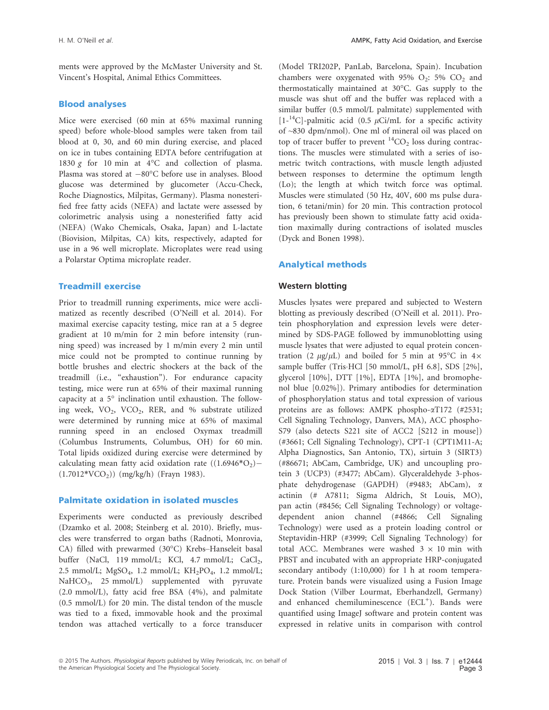ments were approved by the McMaster University and St. Vincent's Hospital, Animal Ethics Committees.

#### Blood analyses

Mice were exercised (60 min at 65% maximal running speed) before whole-blood samples were taken from tail blood at 0, 30, and 60 min during exercise, and placed on ice in tubes containing EDTA before centrifugation at 1830 g for 10 min at 4°C and collection of plasma. Plasma was stored at  $-80^{\circ}$ C before use in analyses. Blood glucose was determined by glucometer (Accu-Check, Roche Diagnostics, Milpitas, Germany). Plasma nonesterified free fatty acids (NEFA) and lactate were assessed by colorimetric analysis using a nonesterified fatty acid (NEFA) (Wako Chemicals, Osaka, Japan) and L-lactate (Biovision, Milpitas, CA) kits, respectively, adapted for use in a 96 well microplate. Microplates were read using a Polarstar Optima microplate reader.

#### Treadmill exercise

Prior to treadmill running experiments, mice were acclimatized as recently described (O'Neill et al. 2014). For maximal exercise capacity testing, mice ran at a 5 degree gradient at 10 m/min for 2 min before intensity (running speed) was increased by 1 m/min every 2 min until mice could not be prompted to continue running by bottle brushes and electric shockers at the back of the treadmill (i.e., "exhaustion"). For endurance capacity testing, mice were run at 65% of their maximal running capacity at a 5° inclination until exhaustion. The following week, VO<sub>2</sub>, VCO<sub>2</sub>, RER, and % substrate utilized were determined by running mice at 65% of maximal running speed in an enclosed Oxymax treadmill (Columbus Instruments, Columbus, OH) for 60 min. Total lipids oxidized during exercise were determined by calculating mean fatty acid oxidation rate  $((1.6946^*O<sub>2</sub>) (1.7012*VCO<sub>2</sub>))$  (mg/kg/h) (Frayn 1983).

#### Palmitate oxidation in isolated muscles

Experiments were conducted as previously described (Dzamko et al. 2008; Steinberg et al. 2010). Briefly, muscles were transferred to organ baths (Radnoti, Monrovia, CA) filled with prewarmed (30°C) Krebs–Hanseleit basal buffer (NaCl, 119 mmol/L; KCl, 4.7 mmol/L; CaCl<sub>2</sub>, 2.5 mmol/L; MgSO<sub>4</sub>, 1.2 mmol/L; KH<sub>2</sub>PO<sub>4</sub>, 1.2 mmol/L; NaHCO<sub>3</sub>, 25 mmol/L) supplemented with pyruvate (2.0 mmol/L), fatty acid free BSA (4%), and palmitate (0.5 mmol/L) for 20 min. The distal tendon of the muscle was tied to a fixed, immovable hook and the proximal tendon was attached vertically to a force transducer

(Model TRI202P, PanLab, Barcelona, Spain). Incubation chambers were oxygenated with 95%  $O_2$ : 5%  $CO_2$  and thermostatically maintained at 30°C. Gas supply to the muscle was shut off and the buffer was replaced with a similar buffer (0.5 mmol/L palmitate) supplemented with  $[1^{-14}C]$ -palmitic acid (0.5  $\mu$ Ci/mL for a specific activity of ~830 dpm/nmol). One ml of mineral oil was placed on top of tracer buffer to prevent  ${}^{14}CO_2$  loss during contractions. The muscles were stimulated with a series of isometric twitch contractions, with muscle length adjusted between responses to determine the optimum length (Lo); the length at which twitch force was optimal. Muscles were stimulated (50 Hz, 40V, 600 ms pulse duration, 6 tetani/min) for 20 min. This contraction protocol has previously been shown to stimulate fatty acid oxidation maximally during contractions of isolated muscles (Dyck and Bonen 1998).

#### Analytical methods

#### Western blotting

Muscles lysates were prepared and subjected to Western blotting as previously described (O'Neill et al. 2011). Protein phosphorylation and expression levels were determined by SDS-PAGE followed by immunoblotting using muscle lysates that were adjusted to equal protein concentration (2  $\mu$ g/ $\mu$ L) and boiled for 5 min at 95°C in 4× sample buffer (Tris·HCl [50 mmol/L, pH 6.8], SDS [2%], glycerol [10%], DTT [1%], EDTA [1%], and bromophenol blue [0.02%]). Primary antibodies for determination of phosphorylation status and total expression of various proteins are as follows: AMPK phospho-aT172 (#2531; Cell Signaling Technology, Danvers, MA), ACC phospho-S79 (also detects S221 site of ACC2 [S212 in mouse]) (#3661; Cell Signaling Technology), CPT-1 (CPT1M11-A; Alpha Diagnostics, San Antonio, TX), sirtuin 3 (SIRT3) (#86671; AbCam, Cambridge, UK) and uncoupling protein 3 (UCP3) (#3477; AbCam). Glyceraldehyde 3-phosphate dehydrogenase (GAPDH) (#9483; AbCam), a actinin (# A7811; Sigma Aldrich, St Louis, MO), pan actin (#8456; Cell Signaling Technology) or voltagedependent anion channel (#4866; Cell Signaling Technology) were used as a protein loading control or Steptavidin-HRP (#3999; Cell Signaling Technology) for total ACC. Membranes were washed  $3 \times 10$  min with PBST and incubated with an appropriate HRP-conjugated secondary antibody (1:10,000) for 1 h at room temperature. Protein bands were visualized using a Fusion Image Dock Station (Vilber Lourmat, Eberhandzell, Germany) and enhanced chemiluminescence (ECL<sup>+</sup>). Bands were quantified using ImageJ software and protein content was expressed in relative units in comparison with control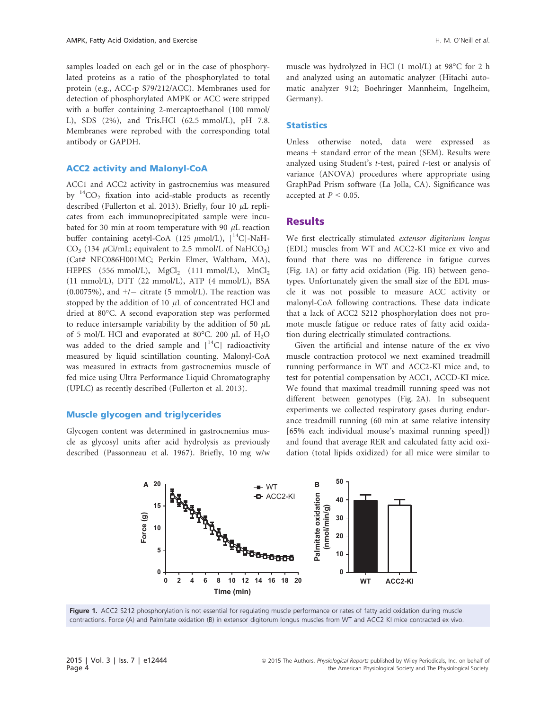samples loaded on each gel or in the case of phosphorylated proteins as a ratio of the phosphorylated to total protein (e.g., ACC-p S79/212/ACC). Membranes used for detection of phosphorylated AMPK or ACC were stripped with a buffer containing 2-mercaptoethanol (100 mmol/ L), SDS (2%), and Tris.HCl (62.5 mmol/L), pH 7.8. Membranes were reprobed with the corresponding total antibody or GAPDH.

#### ACC2 activity and Malonyl-CoA

ACC1 and ACC2 activity in gastrocnemius was measured by  $^{14}CO_2$  fixation into acid-stable products as recently described (Fullerton et al. 2013). Briefly, four 10  $\mu$ L replicates from each immunoprecipitated sample were incubated for 30 min at room temperature with 90  $\mu$ L reaction buffer containing acetyl-CoA (125  $\mu$ mol/L), [<sup>14</sup>C]-NaH-CO<sub>3</sub> (134  $\mu$ Ci/mL; equivalent to 2.5 mmol/L of NaHCO<sub>3</sub>) (Cat# NEC086H001MC; Perkin Elmer, Waltham, MA), HEPES (556 mmol/L),  $MgCl<sub>2</sub>$  (111 mmol/L),  $MnCl<sub>2</sub>$ (11 mmol/L), DTT (22 mmol/L), ATP (4 mmol/L), BSA (0.0075%), and  $+/-$  citrate (5 mmol/L). The reaction was stopped by the addition of 10  $\mu$ L of concentrated HCl and dried at 80°C. A second evaporation step was performed to reduce intersample variability by the addition of 50  $\mu$ L of 5 mol/L HCl and evaporated at 80°C. 200  $\mu$ L of H<sub>2</sub>O was added to the dried sample and  $[$ <sup>14</sup>C] radioactivity measured by liquid scintillation counting. Malonyl-CoA was measured in extracts from gastrocnemius muscle of fed mice using Ultra Performance Liquid Chromatography (UPLC) as recently described (Fullerton et al. 2013).

#### Muscle glycogen and triglycerides

Glycogen content was determined in gastrocnemius muscle as glycosyl units after acid hydrolysis as previously described (Passonneau et al. 1967). Briefly, 10 mg w/w muscle was hydrolyzed in HCl (1 mol/L) at 98°C for 2 h and analyzed using an automatic analyzer (Hitachi automatic analyzer 912; Boehringer Mannheim, Ingelheim, Germany).

#### **Statistics**

Unless otherwise noted, data were expressed as means  $\pm$  standard error of the mean (SEM). Results were analyzed using Student's t-test, paired t-test or analysis of variance (ANOVA) procedures where appropriate using GraphPad Prism software (La Jolla, CA). Significance was accepted at  $P < 0.05$ .

#### **Results**

We first electrically stimulated extensor digitorium longus (EDL) muscles from WT and ACC2-KI mice ex vivo and found that there was no difference in fatigue curves (Fig. 1A) or fatty acid oxidation (Fig. 1B) between genotypes. Unfortunately given the small size of the EDL muscle it was not possible to measure ACC activity or malonyl-CoA following contractions. These data indicate that a lack of ACC2 S212 phosphorylation does not promote muscle fatigue or reduce rates of fatty acid oxidation during electrically stimulated contractions.

Given the artificial and intense nature of the ex vivo muscle contraction protocol we next examined treadmill running performance in WT and ACC2-KI mice and, to test for potential compensation by ACC1, ACCD-KI mice. We found that maximal treadmill running speed was not different between genotypes (Fig. 2A). In subsequent experiments we collected respiratory gases during endurance treadmill running (60 min at same relative intensity [65% each individual mouse's maximal running speed]) and found that average RER and calculated fatty acid oxidation (total lipids oxidized) for all mice were similar to



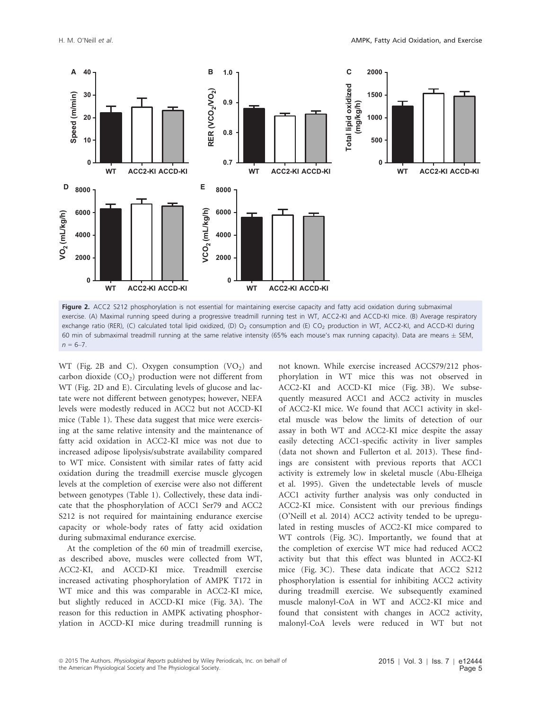

Figure 2. ACC2 S212 phosphorylation is not essential for maintaining exercise capacity and fatty acid oxidation during submaximal exercise. (A) Maximal running speed during a progressive treadmill running test in WT, ACC2-KI and ACCD-KI mice. (B) Average respiratory exchange ratio (RER), (C) calculated total lipid oxidized, (D) O<sub>2</sub> consumption and (E) CO<sub>2</sub> production in WT, ACC2-KI, and ACCD-KI during 60 min of submaximal treadmill running at the same relative intensity (65% each mouse's max running capacity). Data are means  $\pm$  SEM,  $n = 6 - 7$ .

WT (Fig. 2B and C). Oxygen consumption  $(VO<sub>2</sub>)$  and carbon dioxide  $(CO<sub>2</sub>)$  production were not different from WT (Fig. 2D and E). Circulating levels of glucose and lactate were not different between genotypes; however, NEFA levels were modestly reduced in ACC2 but not ACCD-KI mice (Table 1). These data suggest that mice were exercising at the same relative intensity and the maintenance of fatty acid oxidation in ACC2-KI mice was not due to increased adipose lipolysis/substrate availability compared to WT mice. Consistent with similar rates of fatty acid oxidation during the treadmill exercise muscle glycogen levels at the completion of exercise were also not different between genotypes (Table 1). Collectively, these data indicate that the phosphorylation of ACC1 Ser79 and ACC2 S212 is not required for maintaining endurance exercise capacity or whole-body rates of fatty acid oxidation during submaximal endurance exercise.

At the completion of the 60 min of treadmill exercise, as described above, muscles were collected from WT, ACC2-KI, and ACCD-KI mice. Treadmill exercise increased activating phosphorylation of AMPK T172 in WT mice and this was comparable in ACC2-KI mice, but slightly reduced in ACCD-KI mice (Fig. 3A). The reason for this reduction in AMPK activating phosphorylation in ACCD-KI mice during treadmill running is

not known. While exercise increased ACCS79/212 phosphorylation in WT mice this was not observed in ACC2-KI and ACCD-KI mice (Fig. 3B). We subsequently measured ACC1 and ACC2 activity in muscles of ACC2-KI mice. We found that ACC1 activity in skeletal muscle was below the limits of detection of our assay in both WT and ACC2-KI mice despite the assay easily detecting ACC1-specific activity in liver samples (data not shown and Fullerton et al. 2013). These findings are consistent with previous reports that ACC1 activity is extremely low in skeletal muscle (Abu-Elheiga et al. 1995). Given the undetectable levels of muscle ACC1 activity further analysis was only conducted in ACC2-KI mice. Consistent with our previous findings (O'Neill et al. 2014) ACC2 activity tended to be upregulated in resting muscles of ACC2-KI mice compared to WT controls (Fig. 3C). Importantly, we found that at the completion of exercise WT mice had reduced ACC2 activity but that this effect was blunted in ACC2-KI mice (Fig. 3C). These data indicate that ACC2 S212 phosphorylation is essential for inhibiting ACC2 activity during treadmill exercise. We subsequently examined muscle malonyl-CoA in WT and ACC2-KI mice and found that consistent with changes in ACC2 activity, malonyl-CoA levels were reduced in WT but not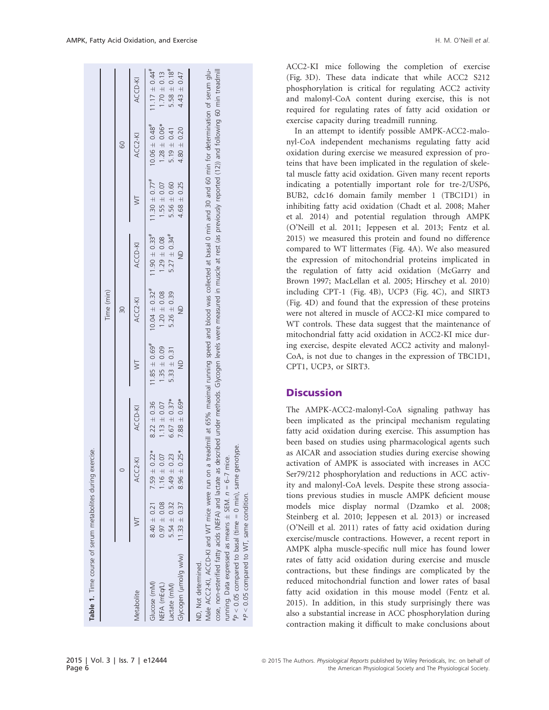| Table 1. Time course of serum metabolites during exercise.                                                                                                                                                                                                                                                                                                                       |                 |                  |                  |                               | Time (min)                    |                               |                               |                               |                               |
|----------------------------------------------------------------------------------------------------------------------------------------------------------------------------------------------------------------------------------------------------------------------------------------------------------------------------------------------------------------------------------|-----------------|------------------|------------------|-------------------------------|-------------------------------|-------------------------------|-------------------------------|-------------------------------|-------------------------------|
|                                                                                                                                                                                                                                                                                                                                                                                  |                 |                  |                  |                               | 30                            |                               |                               | 60                            |                               |
| Metabolite                                                                                                                                                                                                                                                                                                                                                                       |                 | ACC2-K           | ACCD-KI          | ⋝                             | ACC2-KI                       | ACCD-KI                       |                               | ACC2-KI                       | ACCD-KI                       |
| Glucose (mM)                                                                                                                                                                                                                                                                                                                                                                     | $8.40 \pm 0.21$ | $7.59 \pm 0.22*$ | $8.22 \pm 0.36$  | $11.85 \pm 0.69$ <sup>#</sup> | $10.04 \pm 0.32$ <sup>#</sup> | $11.90 \pm 0.33$ <sup>#</sup> | $11.30 \pm 0.77$ <sup>#</sup> | $10.06 \pm 0.48$ <sup>#</sup> | $11.17 \pm 0.44$ <sup>#</sup> |
| NEFA (mEq/L)                                                                                                                                                                                                                                                                                                                                                                     | $0.97 \pm 0.08$ | $1.16 \pm 0.07$  | $1.13 \pm 0.07$  | $1.35 \pm 0.09$               | $1.20 \pm 0.08$               | $1.29 \pm 0.08$               | $1.55 \pm 0.07$               | $1.28 \pm 0.06*$              | $1.70 \pm 0.13$               |
| Lactate (mM)                                                                                                                                                                                                                                                                                                                                                                     | $5.54 \pm 0.32$ | $5.49 \pm 0.23$  | $6.67 \pm 0.37*$ | $5.33 \pm 0.31$               | $5.26 \pm 0.39$               | $5.27 \pm 0.34$ <sup>#</sup>  | $5.56 \pm 0.60$               | 5.19 $\pm$ 0.41               | $5.58 \pm 0.18$ #             |
| Glycogen ( $\mu$ mol/g w/w) 11.33 $\pm$ 0.37                                                                                                                                                                                                                                                                                                                                     |                 | $8.96 \pm 0.25*$ | $7.88 \pm 0.69*$ | $\frac{1}{2}$                 | $\frac{1}{2}$                 | $\frac{1}{2}$                 | $4.68 \pm 0.25$               | $4.80 \pm 0.20$               | $4.43 \pm 0.47$               |
| ND, Not determined.                                                                                                                                                                                                                                                                                                                                                              |                 |                  |                  |                               |                               |                               |                               |                               |                               |
| Male ACCC2-KI, ACCD-KI and WT mice were run on a treadmill at 65% maximal running speed and blood was collected at basal 0 min and 30 and 60 min for determination of serum glu-<br>cose, non-esterified fatty acids (NEFA) and lactate as described under methods. Glycogen levels were measured in muscle at rest (as previously reported (12)) and following 60 min treadmill |                 |                  |                  |                               |                               |                               |                               |                               |                               |
| running. Data expressed as means $\pm$ SEM. $n = 6-7$ mice.                                                                                                                                                                                                                                                                                                                      |                 |                  |                  |                               |                               |                               |                               |                               |                               |

ACC2-KI mice following the completion of exercise (Fig. 3D). These data indicate that while ACC2 S212 phosphorylation is critical for regulating ACC2 activity and malonyl-CoA content during exercise, this is not required for regulating rates of fatty acid oxidation or exercise capacity during treadmill running.

In an attempt to identify possible AMPK-ACC2-malonyl-CoA independent mechanisms regulating fatty acid oxidation during exercise we measured expression of proteins that have been implicated in the regulation of skeletal muscle fatty acid oxidation. Given many recent reports indicating a potentially important role for tre-2/USP6, BUB2, cdc16 domain family member 1 (TBC1D1) in inhibiting fatty acid oxidation (Chadt et al. 2008; Maher et al. 2014) and potential regulation through AMPK (O'Neill et al. 2011; Jeppesen et al. 2013; Fentz et al. 2015) we measured this protein and found no difference compared to WT littermates (Fig. 4A). We also measured the expression of mitochondrial proteins implicated in the regulation of fatty acid oxidation (McGarry and Brown 1997; MacLellan et al. 2005; Hirschey et al. 2010) including CPT-1 (Fig. 4B), UCP3 (Fig. 4C), and SIRT3 (Fig. 4D) and found that the expression of these proteins were not altered in muscle of ACC2-KI mice compared to WT controls. These data suggest that the maintenance of mitochondrial fatty acid oxidation in ACC2-KI mice during exercise, despite elevated ACC2 activity and malonyl-CoA, is not due to changes in the expression of TBC1D1, CPT1, UCP3, or SIRT3.

### **Discussion**

#P

 $P < 0.05$  compared to basal (time  $= 0$  min), same genotype.

\*P < 0.05 compared to WT, same condition.

0.05 compared

 $*P$  <

to WT,

same condition.

The AMPK-ACC2-malonyl-CoA signaling pathway has been implicated as the principal mechanism regulating fatty acid oxidation during exercise. This assumption has been based on studies using pharmacological agents such as AICAR and association studies during exercise showing activation of AMPK is associated with increases in ACC Ser79/212 phosphorylation and reductions in ACC activity and malonyl-CoA levels. Despite these strong associations previous studies in muscle AMPK deficient mouse models mice display normal (Dzamko et al. 2008; Steinberg et al. 2010; Jeppesen et al. 2013) or increased (O'Neill et al. 2011) rates of fatty acid oxidation during exercise/muscle contractions. However, a recent report in AMPK alpha muscle-specific null mice has found lower rates of fatty acid oxidation during exercise and muscle contractions, but these findings are complicated by the reduced mitochondrial function and lower rates of basal fatty acid oxidation in this mouse model (Fentz et al. 2015). In addition, in this study surprisingly there was also a substantial increase in ACC phosphorylation during contraction making it difficult to make conclusions about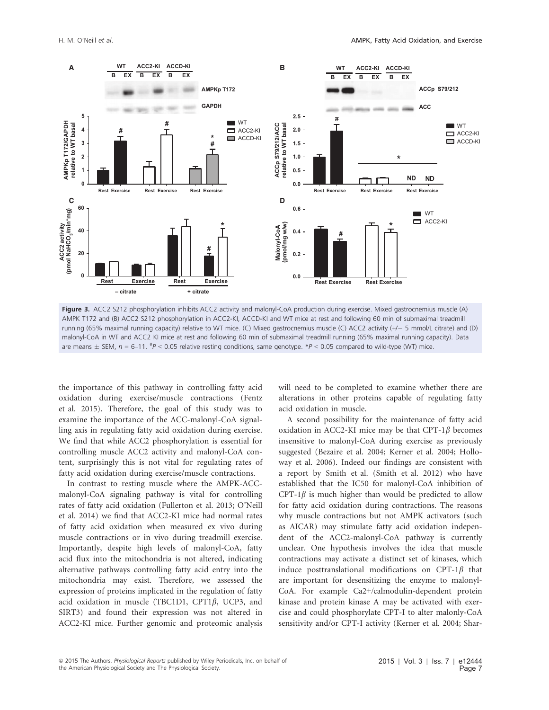

Figure 3. ACC2 S212 phosphorylation inhibits ACC2 activity and malonyl-CoA production during exercise. Mixed gastrocnemius muscle (A) AMPK T172 and (B) ACC2 S212 phosphorylation in ACC2-KI, ACCD-KI and WT mice at rest and following 60 min of submaximal treadmill running (65% maximal running capacity) relative to WT mice. (C) Mixed gastrocnemius muscle (C) ACC2 activity (+/- 5 mmol/L citrate) and (D) malonyl-CoA in WT and ACC2 KI mice at rest and following 60 min of submaximal treadmill running (65% maximal running capacity). Data are means  $\pm$  SEM,  $n = 6$ –11.  $^{*}/P$  < 0.05 relative resting conditions, same genotype.  $^{*}/P$  < 0.05 compared to wild-type (WT) mice.

the importance of this pathway in controlling fatty acid oxidation during exercise/muscle contractions (Fentz et al. 2015). Therefore, the goal of this study was to examine the importance of the ACC-malonyl-CoA signalling axis in regulating fatty acid oxidation during exercise. We find that while ACC2 phosphorylation is essential for controlling muscle ACC2 activity and malonyl-CoA content, surprisingly this is not vital for regulating rates of fatty acid oxidation during exercise/muscle contractions.

In contrast to resting muscle where the AMPK-ACCmalonyl-CoA signaling pathway is vital for controlling rates of fatty acid oxidation (Fullerton et al. 2013; O'Neill et al. 2014) we find that ACC2-KI mice had normal rates of fatty acid oxidation when measured ex vivo during muscle contractions or in vivo during treadmill exercise. Importantly, despite high levels of malonyl-CoA, fatty acid flux into the mitochondria is not altered, indicating alternative pathways controlling fatty acid entry into the mitochondria may exist. Therefore, we assessed the expression of proteins implicated in the regulation of fatty acid oxidation in muscle (TBC1D1, CPT1 $\beta$ , UCP3, and SIRT3) and found their expression was not altered in ACC2-KI mice. Further genomic and proteomic analysis will need to be completed to examine whether there are alterations in other proteins capable of regulating fatty acid oxidation in muscle.

A second possibility for the maintenance of fatty acid oxidation in ACC2-KI mice may be that CPT-1 $\beta$  becomes insensitive to malonyl-CoA during exercise as previously suggested (Bezaire et al. 2004; Kerner et al. 2004; Holloway et al. 2006). Indeed our findings are consistent with a report by Smith et al. (Smith et al. 2012) who have established that the IC50 for malonyl-CoA inhibition of CPT-1 $\beta$  is much higher than would be predicted to allow for fatty acid oxidation during contractions. The reasons why muscle contractions but not AMPK activators (such as AICAR) may stimulate fatty acid oxidation independent of the ACC2-malonyl-CoA pathway is currently unclear. One hypothesis involves the idea that muscle contractions may activate a distinct set of kinases, which induce posttranslational modifications on CPT-1 $\beta$  that are important for desensitizing the enzyme to malonyl-CoA. For example Ca2+/calmodulin-dependent protein kinase and protein kinase A may be activated with exercise and could phosphorylate CPT-I to alter malonly-CoA sensitivity and/or CPT-I activity (Kerner et al. 2004; Shar-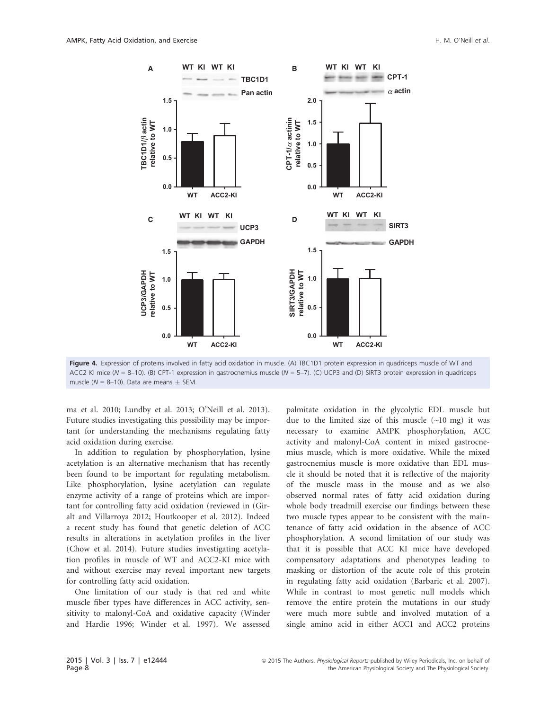

Figure 4. Expression of proteins involved in fatty acid oxidation in muscle. (A) TBC1D1 protein expression in quadriceps muscle of WT and ACC2 KI mice ( $N = 8-10$ ). (B) CPT-1 expression in gastrocnemius muscle ( $N = 5-7$ ). (C) UCP3 and (D) SIRT3 protein expression in quadriceps muscle ( $N = 8-10$ ). Data are means  $\pm$  SEM.

ma et al. 2010; Lundby et al. 2013; O'Neill et al. 2013). Future studies investigating this possibility may be important for understanding the mechanisms regulating fatty acid oxidation during exercise.

In addition to regulation by phosphorylation, lysine acetylation is an alternative mechanism that has recently been found to be important for regulating metabolism. Like phosphorylation, lysine acetylation can regulate enzyme activity of a range of proteins which are important for controlling fatty acid oxidation (reviewed in (Giralt and Villarroya 2012; Houtkooper et al. 2012). Indeed a recent study has found that genetic deletion of ACC results in alterations in acetylation profiles in the liver (Chow et al. 2014). Future studies investigating acetylation profiles in muscle of WT and ACC2-KI mice with and without exercise may reveal important new targets for controlling fatty acid oxidation.

One limitation of our study is that red and white muscle fiber types have differences in ACC activity, sensitivity to malonyl-CoA and oxidative capacity (Winder and Hardie 1996; Winder et al. 1997). We assessed

palmitate oxidation in the glycolytic EDL muscle but due to the limited size of this muscle  $(\sim 10 \text{ mg})$  it was necessary to examine AMPK phosphorylation, ACC activity and malonyl-CoA content in mixed gastrocnemius muscle, which is more oxidative. While the mixed gastrocnemius muscle is more oxidative than EDL muscle it should be noted that it is reflective of the majority of the muscle mass in the mouse and as we also observed normal rates of fatty acid oxidation during whole body treadmill exercise our findings between these two muscle types appear to be consistent with the maintenance of fatty acid oxidation in the absence of ACC phosphorylation. A second limitation of our study was that it is possible that ACC KI mice have developed compensatory adaptations and phenotypes leading to masking or distortion of the acute role of this protein in regulating fatty acid oxidation (Barbaric et al. 2007). While in contrast to most genetic null models which remove the entire protein the mutations in our study were much more subtle and involved mutation of a single amino acid in either ACC1 and ACC2 proteins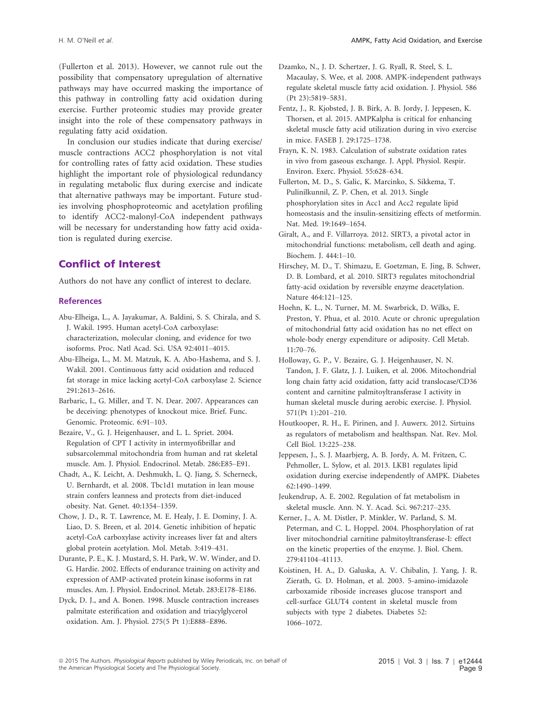(Fullerton et al. 2013). However, we cannot rule out the possibility that compensatory upregulation of alternative pathways may have occurred masking the importance of this pathway in controlling fatty acid oxidation during exercise. Further proteomic studies may provide greater insight into the role of these compensatory pathways in regulating fatty acid oxidation.

In conclusion our studies indicate that during exercise/ muscle contractions ACC2 phosphorylation is not vital for controlling rates of fatty acid oxidation. These studies highlight the important role of physiological redundancy in regulating metabolic flux during exercise and indicate that alternative pathways may be important. Future studies involving phosphoproteomic and acetylation profiling to identify ACC2-malonyl-CoA independent pathways will be necessary for understanding how fatty acid oxidation is regulated during exercise.

# Conflict of Interest

Authors do not have any conflict of interest to declare.

#### **References**

- Abu-Elheiga, L., A. Jayakumar, A. Baldini, S. S. Chirala, and S. J. Wakil. 1995. Human acetyl-CoA carboxylase: characterization, molecular cloning, and evidence for two isoforms. Proc. Natl Acad. Sci. USA 92:4011–4015.
- Abu-Elheiga, L., M. M. Matzuk, K. A. Abo-Hashema, and S. J. Wakil. 2001. Continuous fatty acid oxidation and reduced fat storage in mice lacking acetyl-CoA carboxylase 2. Science 291:2613–2616.
- Barbaric, I., G. Miller, and T. N. Dear. 2007. Appearances can be deceiving: phenotypes of knockout mice. Brief. Func. Genomic. Proteomic. 6:91–103.
- Bezaire, V., G. J. Heigenhauser, and L. L. Spriet. 2004. Regulation of CPT I activity in intermyofibrillar and subsarcolemmal mitochondria from human and rat skeletal muscle. Am. J. Physiol. Endocrinol. Metab. 286:E85–E91.
- Chadt, A., K. Leicht, A. Deshmukh, L. Q. Jiang, S. Scherneck, U. Bernhardt, et al. 2008. Tbc1d1 mutation in lean mouse strain confers leanness and protects from diet-induced obesity. Nat. Genet. 40:1354–1359.
- Chow, J. D., R. T. Lawrence, M. E. Healy, J. E. Dominy, J. A. Liao, D. S. Breen, et al. 2014. Genetic inhibition of hepatic acetyl-CoA carboxylase activity increases liver fat and alters global protein acetylation. Mol. Metab. 3:419–431.
- Durante, P. E., K. J. Mustard, S. H. Park, W. W. Winder, and D. G. Hardie. 2002. Effects of endurance training on activity and expression of AMP-activated protein kinase isoforms in rat muscles. Am. J. Physiol. Endocrinol. Metab. 283:E178–E186.
- Dyck, D. J., and A. Bonen. 1998. Muscle contraction increases palmitate esterification and oxidation and triacylglycerol oxidation. Am. J. Physiol. 275(5 Pt 1):E888–E896.
- Dzamko, N., J. D. Schertzer, J. G. Ryall, R. Steel, S. L. Macaulay, S. Wee, et al. 2008. AMPK-independent pathways regulate skeletal muscle fatty acid oxidation. J. Physiol. 586 (Pt 23):5819–5831.
- Fentz, J., R. Kjobsted, J. B. Birk, A. B. Jordy, J. Jeppesen, K. Thorsen, et al. 2015. AMPKalpha is critical for enhancing skeletal muscle fatty acid utilization during in vivo exercise in mice. FASEB J. 29:1725–1738.
- Frayn, K. N. 1983. Calculation of substrate oxidation rates in vivo from gaseous exchange. J. Appl. Physiol. Respir. Environ. Exerc. Physiol. 55:628–634.
- Fullerton, M. D., S. Galic, K. Marcinko, S. Sikkema, T. Pulinilkunnil, Z. P. Chen, et al. 2013. Single phosphorylation sites in Acc1 and Acc2 regulate lipid homeostasis and the insulin-sensitizing effects of metformin. Nat. Med. 19:1649–1654.
- Giralt, A., and F. Villarroya. 2012. SIRT3, a pivotal actor in mitochondrial functions: metabolism, cell death and aging. Biochem. J. 444:1–10.
- Hirschey, M. D., T. Shimazu, E. Goetzman, E. Jing, B. Schwer, D. B. Lombard, et al. 2010. SIRT3 regulates mitochondrial fatty-acid oxidation by reversible enzyme deacetylation. Nature 464:121–125.
- Hoehn, K. L., N. Turner, M. M. Swarbrick, D. Wilks, E. Preston, Y. Phua, et al. 2010. Acute or chronic upregulation of mitochondrial fatty acid oxidation has no net effect on whole-body energy expenditure or adiposity. Cell Metab. 11:70–76.
- Holloway, G. P., V. Bezaire, G. J. Heigenhauser, N. N. Tandon, J. F. Glatz, J. J. Luiken, et al. 2006. Mitochondrial long chain fatty acid oxidation, fatty acid translocase/CD36 content and carnitine palmitoyltransferase I activity in human skeletal muscle during aerobic exercise. J. Physiol. 571(Pt 1):201–210.
- Houtkooper, R. H., E. Pirinen, and J. Auwerx. 2012. Sirtuins as regulators of metabolism and healthspan. Nat. Rev. Mol. Cell Biol. 13:225–238.
- Jeppesen, J., S. J. Maarbjerg, A. B. Jordy, A. M. Fritzen, C. Pehmoller, L. Sylow, et al. 2013. LKB1 regulates lipid oxidation during exercise independently of AMPK. Diabetes 62:1490–1499.
- Jeukendrup, A. E. 2002. Regulation of fat metabolism in skeletal muscle. Ann. N. Y. Acad. Sci. 967:217–235.
- Kerner, J., A. M. Distler, P. Minkler, W. Parland, S. M. Peterman, and C. L. Hoppel. 2004. Phosphorylation of rat liver mitochondrial carnitine palmitoyltransferase-I: effect on the kinetic properties of the enzyme. J. Biol. Chem. 279:41104–41113.
- Koistinen, H. A., D. Galuska, A. V. Chibalin, J. Yang, J. R. Zierath, G. D. Holman, et al. 2003. 5-amino-imidazole carboxamide riboside increases glucose transport and cell-surface GLUT4 content in skeletal muscle from subjects with type 2 diabetes. Diabetes 52: 1066–1072.

<sup>ª</sup> 2015 The Authors. Physiological Reports published by Wiley Periodicals, Inc. on behalf of the American Physiological Society and The Physiological Society.